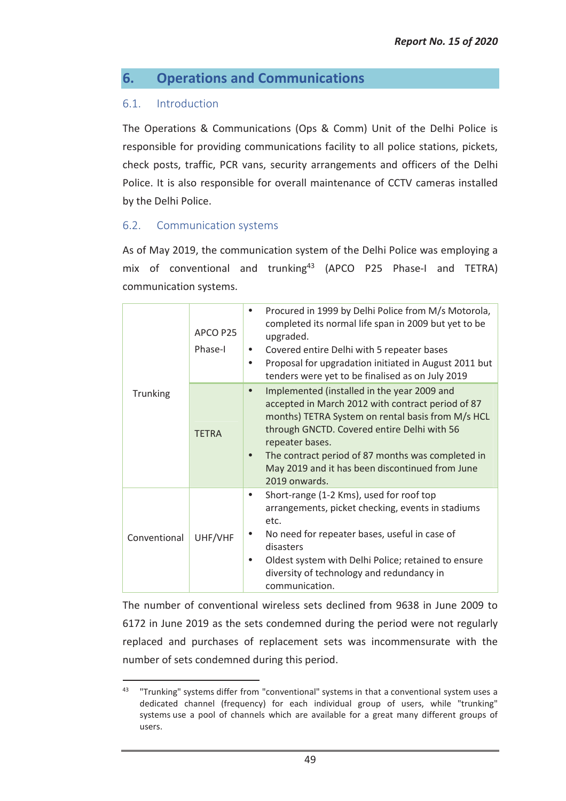# **6. Operations and Communications**

## 6.1. Introduction

 $\overline{a}$ 

The Operations & Communications (Ops & Comm) Unit of the Delhi Police is responsible for providing communications facility to all police stations, pickets, check posts, traffic, PCR vans, security arrangements and officers of the Delhi Police. It is also responsible for overall maintenance of CCTV cameras installed by the Delhi Police.

## 6.2. Communication systems

As of May 2019, the communication system of the Delhi Police was employing a mix of conventional and trunking<sup>43</sup> (APCO P25 Phase-I and TETRA) communication systems.

| Trunking     | APCO P25<br>Phase-I | Procured in 1999 by Delhi Police from M/s Motorola,<br>$\bullet$<br>completed its normal life span in 2009 but yet to be<br>upgraded.<br>Covered entire Delhi with 5 repeater bases<br>٠<br>Proposal for upgradation initiated in August 2011 but<br>$\bullet$<br>tenders were yet to be finalised as on July 2019                                                         |
|--------------|---------------------|----------------------------------------------------------------------------------------------------------------------------------------------------------------------------------------------------------------------------------------------------------------------------------------------------------------------------------------------------------------------------|
|              | <b>TFTRA</b>        | Implemented (installed in the year 2009 and<br>$\bullet$<br>accepted in March 2012 with contract period of 87<br>months) TETRA System on rental basis from M/s HCL<br>through GNCTD. Covered entire Delhi with 56<br>repeater bases.<br>The contract period of 87 months was completed in<br>$\bullet$<br>May 2019 and it has been discontinued from June<br>2019 onwards. |
| Conventional | UHF/VHF             | Short-range (1-2 Kms), used for roof top<br>$\bullet$<br>arrangements, picket checking, events in stadiums<br>etc.<br>No need for repeater bases, useful in case of<br>disasters<br>Oldest system with Delhi Police; retained to ensure<br>٠<br>diversity of technology and redundancy in<br>communication.                                                                |

The number of conventional wireless sets declined from 9638 in June 2009 to 6172 in June 2019 as the sets condemned during the period were not regularly replaced and purchases of replacement sets was incommensurate with the number of sets condemned during this period.

<sup>&</sup>lt;sup>43</sup> "Trunking" systems differ from "conventional" systems in that a conventional system uses a dedicated channel (frequency) for each individual group of users, while "trunking" systems use a pool of channels which are available for a great many different groups of users.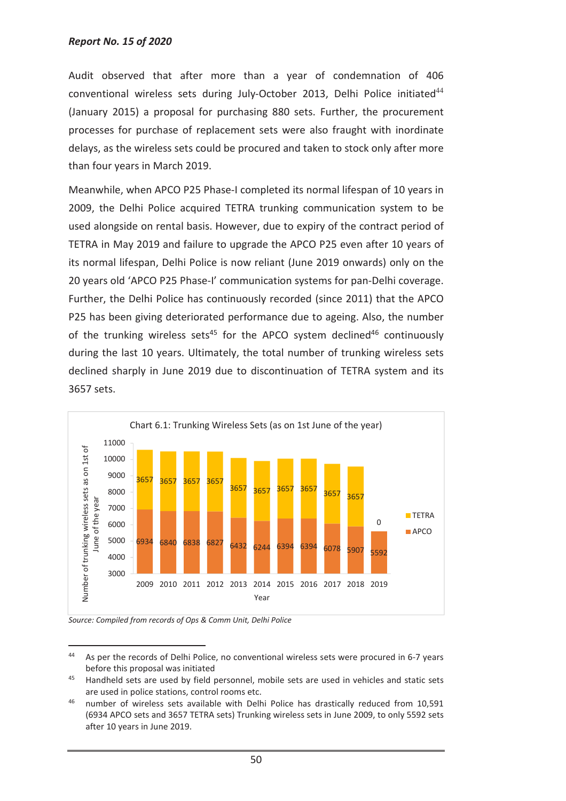Audit observed that after more than a year of condemnation of 406 conventional wireless sets during July-October 2013, Delhi Police initiated $44$ (January 2015) a proposal for purchasing 880 sets. Further, the procurement processes for purchase of replacement sets were also fraught with inordinate delays, as the wireless sets could be procured and taken to stock only after more than four years in March 2019.

Meanwhile, when APCO P25 Phase-I completed its normal lifespan of 10 years in 2009, the Delhi Police acquired TETRA trunking communication system to be used alongside on rental basis. However, due to expiry of the contract period of TETRA in May 2019 and failure to upgrade the APCO P25 even after 10 years of its normal lifespan, Delhi Police is now reliant (June 2019 onwards) only on the 20 years old 'APCO P25 Phase-I' communication systems for pan-Delhi coverage. Further, the Delhi Police has continuously recorded (since 2011) that the APCO P25 has been giving deteriorated performance due to ageing. Also, the number of the trunking wireless sets<sup>45</sup> for the APCO system declined<sup>46</sup> continuously during the last 10 years. Ultimately, the total number of trunking wireless sets declined sharply in June 2019 due to discontinuation of TETRA system and its 3657 sets.



*Source: Compiled from records of Ops & Comm Unit, Delhi Police* 

 $\overline{a}$ 

<sup>44</sup> As per the records of Delhi Police, no conventional wireless sets were procured in 6-7 years before this proposal was initiated

<sup>45</sup> Handheld sets are used by field personnel, mobile sets are used in vehicles and static sets are used in police stations, control rooms etc.

<sup>46</sup> number of wireless sets available with Delhi Police has drastically reduced from 10,591 (6934 APCO sets and 3657 TETRA sets) Trunking wireless sets in June 2009, to only 5592 sets after 10 years in June 2019.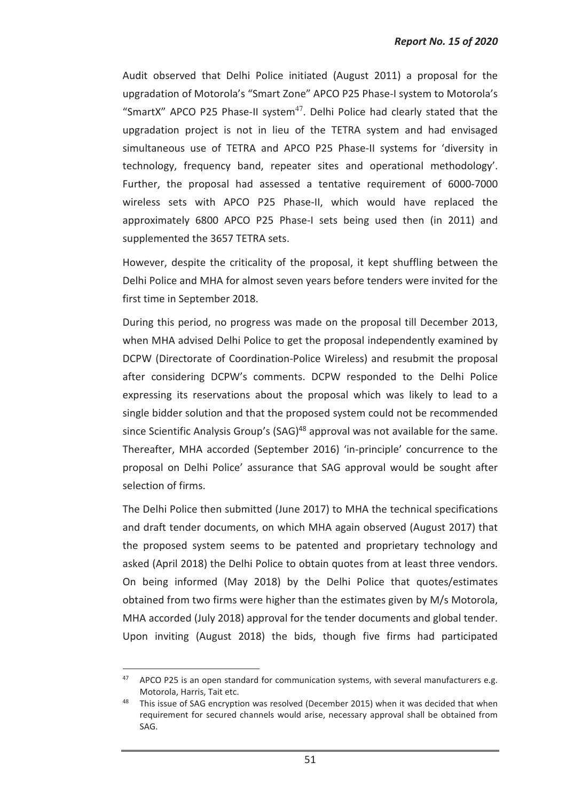Audit observed that Delhi Police initiated (August 2011) a proposal for the upgradation of Motorola's "Smart Zone" APCO P25 Phase-I system to Motorola's "SmartX" APCO P25 Phase-II system<sup>47</sup>. Delhi Police had clearly stated that the upgradation project is not in lieu of the TETRA system and had envisaged simultaneous use of TETRA and APCO P25 Phase-II systems for 'diversity in technology, frequency band, repeater sites and operational methodology'. Further, the proposal had assessed a tentative requirement of 6000-7000 wireless sets with APCO P25 Phase-II, which would have replaced the approximately 6800 APCO P25 Phase-I sets being used then (in 2011) and supplemented the 3657 TETRA sets.

However, despite the criticality of the proposal, it kept shuffling between the Delhi Police and MHA for almost seven years before tenders were invited for the first time in September 2018.

During this period, no progress was made on the proposal till December 2013, when MHA advised Delhi Police to get the proposal independently examined by DCPW (Directorate of Coordination-Police Wireless) and resubmit the proposal after considering DCPW's comments. DCPW responded to the Delhi Police expressing its reservations about the proposal which was likely to lead to a single bidder solution and that the proposed system could not be recommended since Scientific Analysis Group's (SAG)<sup>48</sup> approval was not available for the same. Thereafter, MHA accorded (September 2016) 'in-principle' concurrence to the proposal on Delhi Police' assurance that SAG approval would be sought after selection of firms.

The Delhi Police then submitted (June 2017) to MHA the technical specifications and draft tender documents, on which MHA again observed (August 2017) that the proposed system seems to be patented and proprietary technology and asked (April 2018) the Delhi Police to obtain quotes from at least three vendors. On being informed (May 2018) by the Delhi Police that quotes/estimates obtained from two firms were higher than the estimates given by M/s Motorola, MHA accorded (July 2018) approval for the tender documents and global tender. Upon inviting (August 2018) the bids, though five firms had participated

 $\overline{a}$ 

 $47$  APCO P25 is an open standard for communication systems, with several manufacturers e.g. Motorola, Harris, Tait etc.

This issue of SAG encryption was resolved (December 2015) when it was decided that when requirement for secured channels would arise, necessary approval shall be obtained from SAG.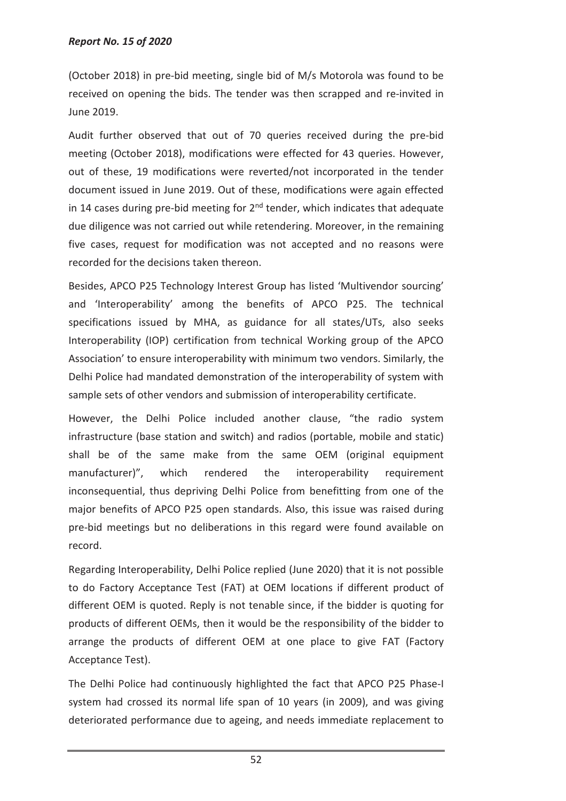#### *Report No. 15 of 2020*

(October 2018) in pre-bid meeting, single bid of M/s Motorola was found to be received on opening the bids. The tender was then scrapped and re-invited in June 2019.

Audit further observed that out of 70 queries received during the pre-bid meeting (October 2018), modifications were effected for 43 queries. However, out of these, 19 modifications were reverted/not incorporated in the tender document issued in June 2019. Out of these, modifications were again effected in 14 cases during pre-bid meeting for  $2<sup>nd</sup>$  tender, which indicates that adequate due diligence was not carried out while retendering. Moreover, in the remaining five cases, request for modification was not accepted and no reasons were recorded for the decisions taken thereon.

Besides, APCO P25 Technology Interest Group has listed 'Multivendor sourcing' and 'Interoperability' among the benefits of APCO P25. The technical specifications issued by MHA, as guidance for all states/UTs, also seeks Interoperability (IOP) certification from technical Working group of the APCO Association' to ensure interoperability with minimum two vendors. Similarly, the Delhi Police had mandated demonstration of the interoperability of system with sample sets of other vendors and submission of interoperability certificate.

However, the Delhi Police included another clause, "the radio system infrastructure (base station and switch) and radios (portable, mobile and static) shall be of the same make from the same OEM (original equipment manufacturer)", which rendered the interoperability requirement inconsequential, thus depriving Delhi Police from benefitting from one of the major benefits of APCO P25 open standards. Also, this issue was raised during pre-bid meetings but no deliberations in this regard were found available on record.

Regarding Interoperability, Delhi Police replied (June 2020) that it is not possible to do Factory Acceptance Test (FAT) at OEM locations if different product of different OEM is quoted. Reply is not tenable since, if the bidder is quoting for products of different OEMs, then it would be the responsibility of the bidder to arrange the products of different OEM at one place to give FAT (Factory Acceptance Test).

The Delhi Police had continuously highlighted the fact that APCO P25 Phase-I system had crossed its normal life span of 10 years (in 2009), and was giving deteriorated performance due to ageing, and needs immediate replacement to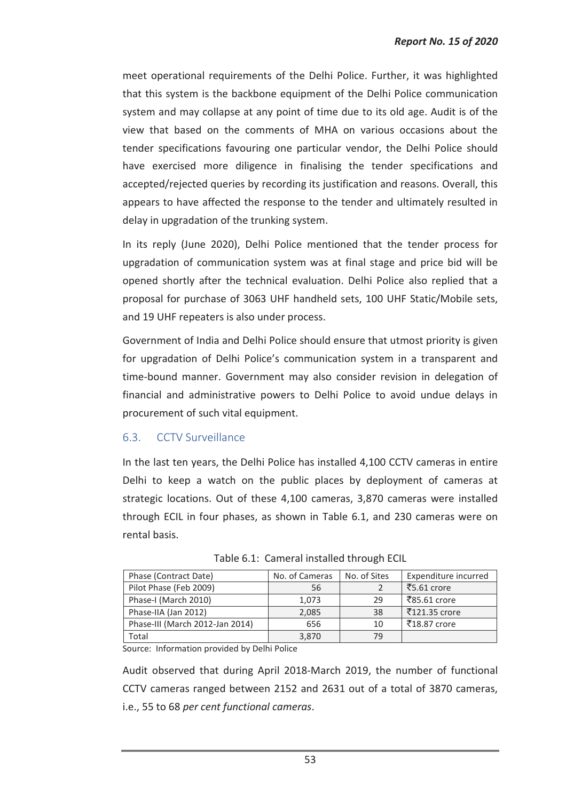meet operational requirements of the Delhi Police. Further, it was highlighted that this system is the backbone equipment of the Delhi Police communication system and may collapse at any point of time due to its old age. Audit is of the view that based on the comments of MHA on various occasions about the tender specifications favouring one particular vendor, the Delhi Police should have exercised more diligence in finalising the tender specifications and accepted/rejected queries by recording its justification and reasons. Overall, this appears to have affected the response to the tender and ultimately resulted in delay in upgradation of the trunking system.

In its reply (June 2020), Delhi Police mentioned that the tender process for upgradation of communication system was at final stage and price bid will be opened shortly after the technical evaluation. Delhi Police also replied that a proposal for purchase of 3063 UHF handheld sets, 100 UHF Static/Mobile sets, and 19 UHF repeaters is also under process.

Government of India and Delhi Police should ensure that utmost priority is given for upgradation of Delhi Police's communication system in a transparent and time-bound manner. Government may also consider revision in delegation of financial and administrative powers to Delhi Police to avoid undue delays in procurement of such vital equipment.

# 6.3. CCTV Surveillance

In the last ten years, the Delhi Police has installed 4,100 CCTV cameras in entire Delhi to keep a watch on the public places by deployment of cameras at strategic locations. Out of these 4,100 cameras, 3,870 cameras were installed through ECIL in four phases, as shown in Table 6.1, and 230 cameras were on rental basis.

| Phase (Contract Date)           | No. of Cameras | No. of Sites | Expenditure incurred |
|---------------------------------|----------------|--------------|----------------------|
| Pilot Phase (Feb 2009)          | 56             |              | ₹5.61 crore          |
| Phase-I (March 2010)            | 1.073          | 29           | ₹85.61 crore         |
| Phase-IIA (Jan 2012)            | 2,085          | 38           | ₹121.35 crore        |
| Phase-III (March 2012-Jan 2014) | 656            | 10           | ₹18.87 crore         |
| Total                           | 3,870          | 79           |                      |

Table 6.1: Cameral installed through ECIL

Source: Information provided by Delhi Police

Audit observed that during April 2018-March 2019, the number of functional CCTV cameras ranged between 2152 and 2631 out of a total of 3870 cameras, i.e., 55 to 68 *per cent functional cameras*.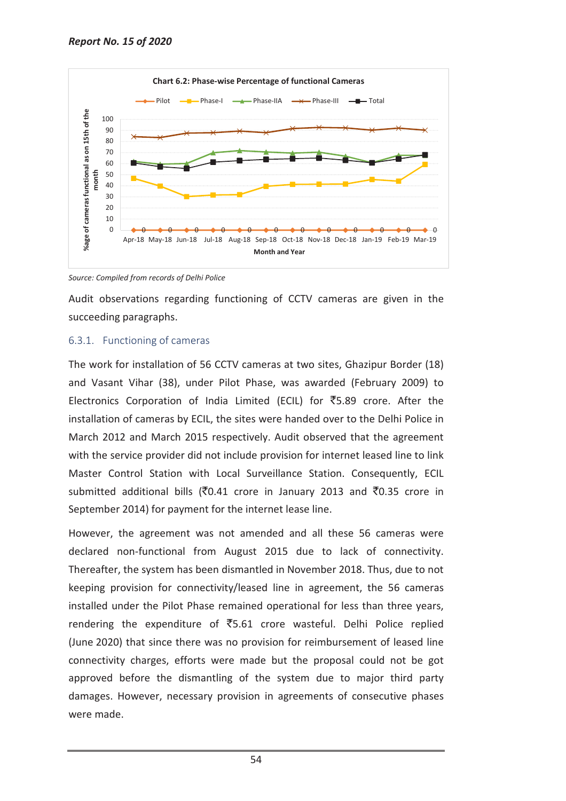

*Source: Compiled from records of Delhi Police* 

Audit observations regarding functioning of CCTV cameras are given in the succeeding paragraphs.

## 6.3.1. Functioning of cameras

The work for installation of 56 CCTV cameras at two sites, Ghazipur Border (18) and Vasant Vihar (38), under Pilot Phase, was awarded (February 2009) to Electronics Corporation of India Limited (ECIL) for  $\overline{5}5.89$  crore. After the installation of cameras by ECIL, the sites were handed over to the Delhi Police in March 2012 and March 2015 respectively. Audit observed that the agreement with the service provider did not include provision for internet leased line to link Master Control Station with Local Surveillance Station. Consequently, ECIL submitted additional bills ( $\overline{8}0.41$  crore in January 2013 and  $\overline{8}0.35$  crore in September 2014) for payment for the internet lease line.

However, the agreement was not amended and all these 56 cameras were declared non-functional from August 2015 due to lack of connectivity. Thereafter, the system has been dismantled in November 2018. Thus, due to not keeping provision for connectivity/leased line in agreement, the 56 cameras installed under the Pilot Phase remained operational for less than three years, rendering the expenditure of  $\overline{55.61}$  crore wasteful. Delhi Police replied (June 2020) that since there was no provision for reimbursement of leased line connectivity charges, efforts were made but the proposal could not be got approved before the dismantling of the system due to major third party damages. However, necessary provision in agreements of consecutive phases were made.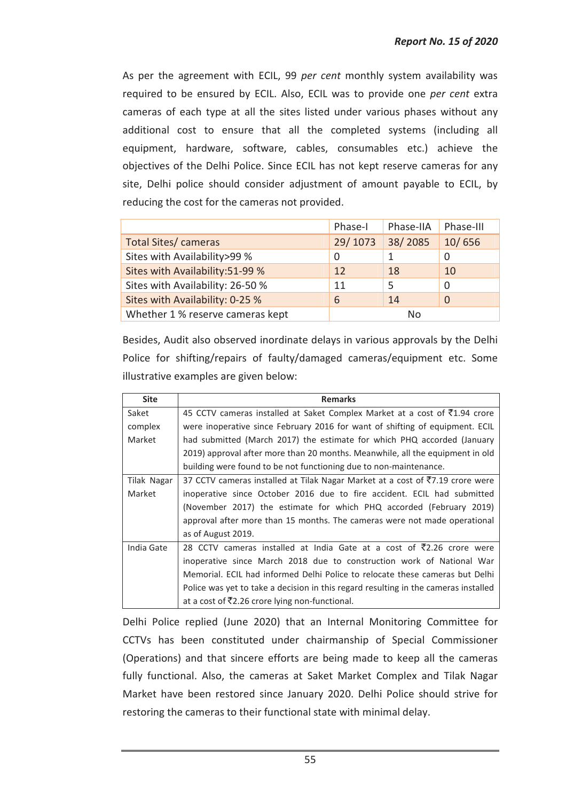As per the agreement with ECIL, 99 *per cent* monthly system availability was required to be ensured by ECIL. Also, ECIL was to provide one *per cent* extra cameras of each type at all the sites listed under various phases without any additional cost to ensure that all the completed systems (including all equipment, hardware, software, cables, consumables etc.) achieve the objectives of the Delhi Police. Since ECIL has not kept reserve cameras for any site, Delhi police should consider adjustment of amount payable to ECIL, by reducing the cost for the cameras not provided.

|                                  | Phase-I | Phase-IIA | Phase-III |
|----------------------------------|---------|-----------|-----------|
| Total Sites/ cameras             | 29/1073 | 38/2085   | 10/656    |
| Sites with Availability>99 %     | O       |           | 0         |
| Sites with Availability: 51-99 % | 12      | 18        | 10        |
| Sites with Availability: 26-50 % | 11      | 5         | 0         |
| Sites with Availability: 0-25 %  | 6       | 14        | 0         |
| Whether 1 % reserve cameras kept | No      |           |           |

Besides, Audit also observed inordinate delays in various approvals by the Delhi Police for shifting/repairs of faulty/damaged cameras/equipment etc. Some illustrative examples are given below:

| <b>Site</b> | <b>Remarks</b>                                                                             |
|-------------|--------------------------------------------------------------------------------------------|
| Saket       | 45 CCTV cameras installed at Saket Complex Market at a cost of ₹1.94 crore                 |
| complex     | were inoperative since February 2016 for want of shifting of equipment. ECIL               |
| Market      | had submitted (March 2017) the estimate for which PHQ accorded (January                    |
|             | 2019) approval after more than 20 months. Meanwhile, all the equipment in old              |
|             | building were found to be not functioning due to non-maintenance.                          |
| Tilak Nagar | 37 CCTV cameras installed at Tilak Nagar Market at a cost of $\overline{57.19}$ crore were |
| Market      | inoperative since October 2016 due to fire accident. ECIL had submitted                    |
|             | (November 2017) the estimate for which PHQ accorded (February 2019)                        |
|             | approval after more than 15 months. The cameras were not made operational                  |
|             | as of August 2019.                                                                         |
| India Gate  | 28 CCTV cameras installed at India Gate at a cost of $\overline{5}2.26$ crore were         |
|             | inoperative since March 2018 due to construction work of National War                      |
|             | Memorial. ECIL had informed Delhi Police to relocate these cameras but Delhi               |
|             | Police was yet to take a decision in this regard resulting in the cameras installed        |
|             | at a cost of ₹2.26 crore lying non-functional.                                             |

Delhi Police replied (June 2020) that an Internal Monitoring Committee for CCTVs has been constituted under chairmanship of Special Commissioner (Operations) and that sincere efforts are being made to keep all the cameras fully functional. Also, the cameras at Saket Market Complex and Tilak Nagar Market have been restored since January 2020. Delhi Police should strive for restoring the cameras to their functional state with minimal delay.